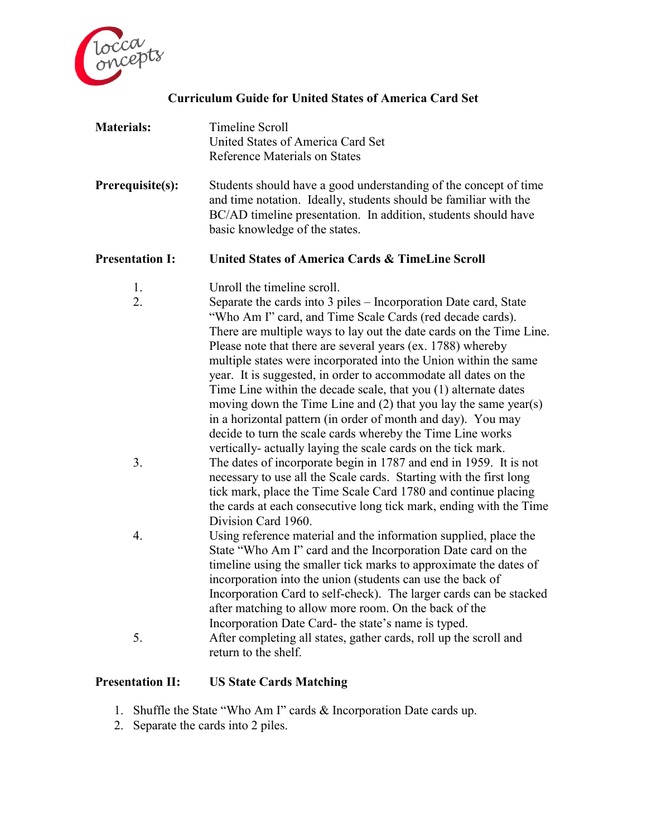

## **Curriculum Guide for United States of America Card Set**

| <b>Materials:</b> | Timeline Scroll                   |
|-------------------|-----------------------------------|
|                   | United States of America Card Set |
|                   | Reference Materials on States     |

**Prerequisite(s):** Students should have a good understanding of the concept of time and time notation. Ideally, students should be familiar with the BC/AD timeline presentation. In addition, students should have basic knowledge of the states.

**Presentation I: United States of America Cards & TimeLine Scroll**

- 1. Unroll the timeline scroll.
- 2. Separate the cards into 3 piles Incorporation Date card, State "Who Am I" card, and Time Scale Cards (red decade cards). There are multiple ways to lay out the date cards on the Time Line. Please note that there are several years (ex. 1788) whereby multiple states were incorporated into the Union within the same year. It is suggested, in order to accommodate all dates on the Time Line within the decade scale, that you (1) alternate dates moving down the Time Line and (2) that you lay the same year(s) in a horizontal pattern (in order of month and day). You may decide to turn the scale cards whereby the Time Line works vertically- actually laying the scale cards on the tick mark. 3. The dates of incorporate begin in 1787 and end in 1959. It is not necessary to use all the Scale cards. Starting with the first long tick mark, place the Time Scale Card 1780 and continue placing the cards at each consecutive long tick mark, ending with the Time Division Card 1960. 4. Using reference material and the information supplied, place the State "Who Am I" card and the Incorporation Date card on the timeline using the smaller tick marks to approximate the dates of incorporation into the union (students can use the back of Incorporation Card to self-check). The larger cards can be stacked after matching to allow more room. On the back of the Incorporation Date Card- the state's name is typed. 5. After completing all states, gather cards, roll up the scroll and return to the shelf.

#### **Presentation II: US State Cards Matching**

- 1. Shuffle the State "Who Am I" cards & Incorporation Date cards up.
- 2. Separate the cards into 2 piles.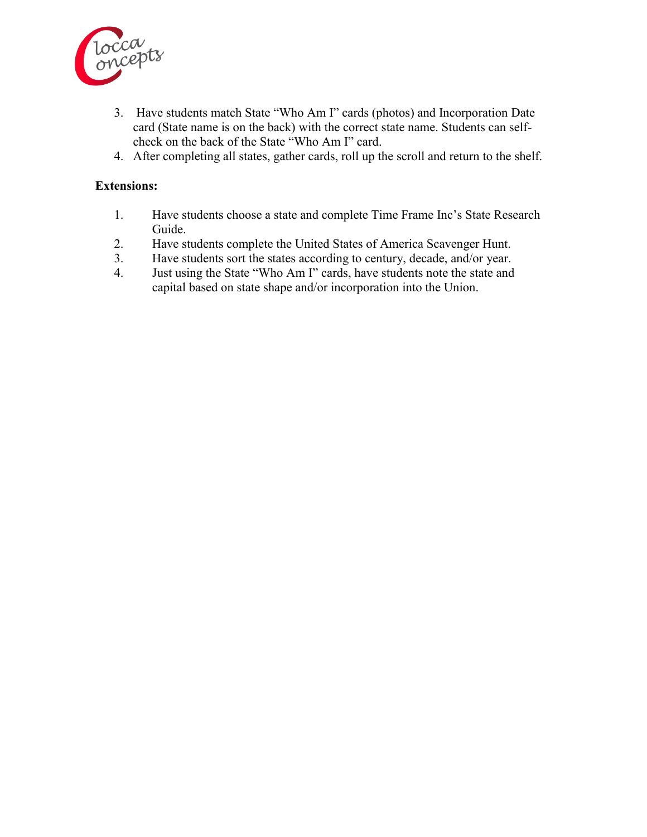

- 3. Have students match State "Who Am I" cards (photos) and Incorporation Date card (State name is on the back) with the correct state name. Students can selfcheck on the back of the State "Who Am I" card.
- 4. After completing all states, gather cards, roll up the scroll and return to the shelf.

### **Extensions:**

- 1. Have students choose a state and complete Time Frame Inc's State Research Guide.
- 2. Have students complete the United States of America Scavenger Hunt.
- 3. Have students sort the states according to century, decade, and/or year.
- 4. Just using the State "Who Am I" cards, have students note the state and capital based on state shape and/or incorporation into the Union.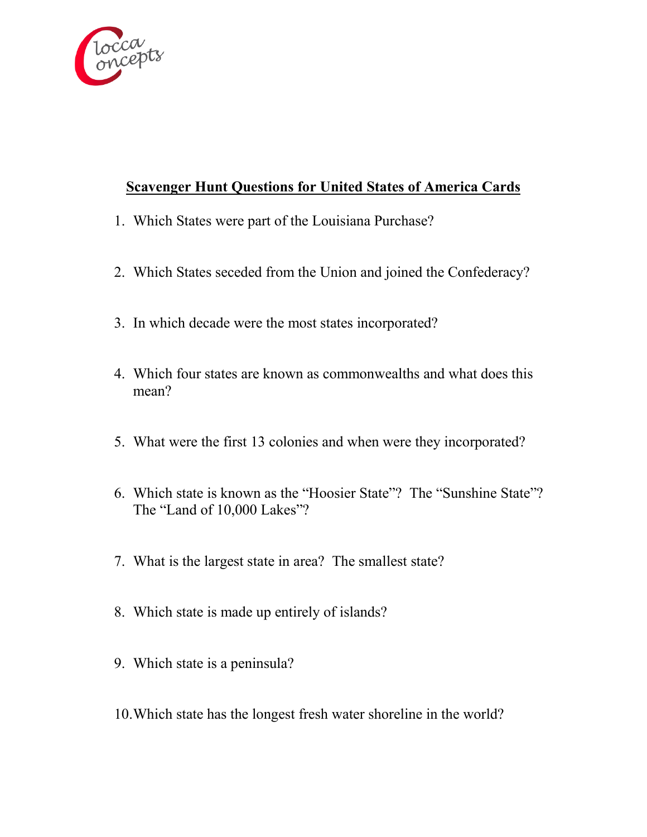

# **Scavenger Hunt Questions for United States of America Cards**

- 1. Which States were part of the Louisiana Purchase?
- 2. Which States seceded from the Union and joined the Confederacy?
- 3. In which decade were the most states incorporated?
- 4. Which four states are known as commonwealths and what does this mean?
- 5. What were the first 13 colonies and when were they incorporated?
- 6. Which state is known as the "Hoosier State"? The "Sunshine State"? The "Land of 10,000 Lakes"?
- 7. What is the largest state in area? The smallest state?
- 8. Which state is made up entirely of islands?
- 9. Which state is a peninsula?
- 10.Which state has the longest fresh water shoreline in the world?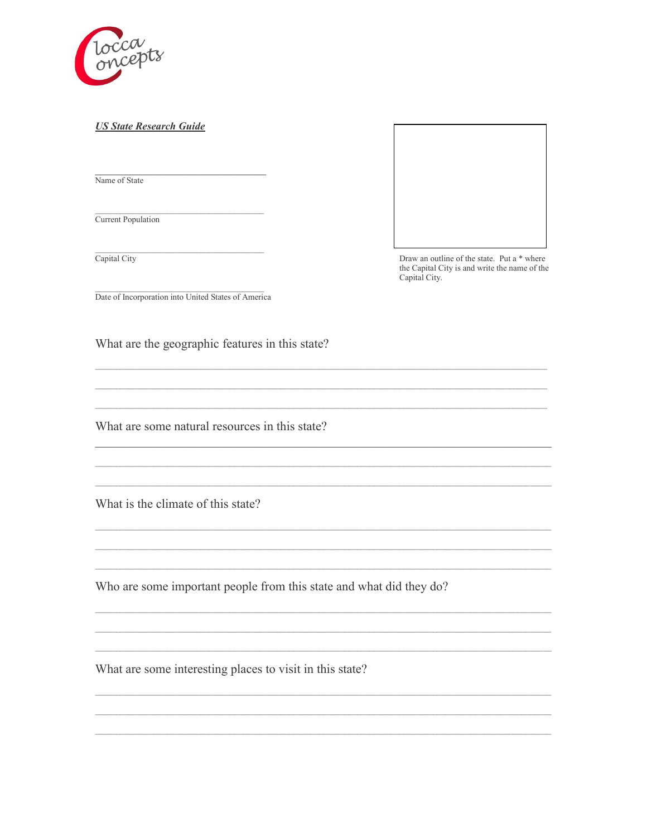

#### **US State Research Guide**

Name of State

Current Population

Capital City



Draw an outline of the state. Put a \* where the Capital City is and write the name of the Capital City.

Date of Incorporation into United States of America

What are the geographic features in this state?

What are some natural resources in this state?

What is the climate of this state?

Who are some important people from this state and what did they do?

What are some interesting places to visit in this state?